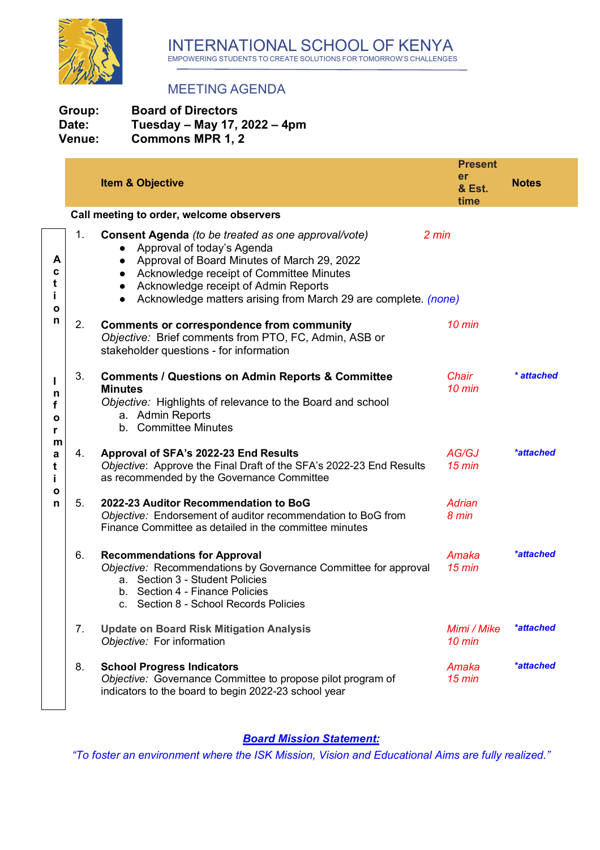

## MEETING AGENDA

| Group: | <b>Board of Directors</b>    |
|--------|------------------------------|
| Date:  | Tuesday – May 17, 2022 – 4pm |
| Venue: | <b>Commons MPR 1, 2</b>      |

|                        | er |                                                                                                                                                                                                                                                                                                                                  | <b>Present</b>                  | <b>Notes</b>     |
|------------------------|----|----------------------------------------------------------------------------------------------------------------------------------------------------------------------------------------------------------------------------------------------------------------------------------------------------------------------------------|---------------------------------|------------------|
|                        |    | <b>Item &amp; Objective</b>                                                                                                                                                                                                                                                                                                      | & Est.<br>time                  |                  |
|                        |    | Call meeting to order, welcome observers                                                                                                                                                                                                                                                                                         |                                 |                  |
| A<br>c<br>t<br>i.<br>ο | 1. | <b>Consent Agenda</b> (to be treated as one approval/vote)<br>2 min<br>Approval of today's Agenda<br>Approval of Board Minutes of March 29, 2022<br>Acknowledge receipt of Committee Minutes<br>Acknowledge receipt of Admin Reports<br>$\bullet$<br>Acknowledge matters arising from March 29 are complete. (none)<br>$\bullet$ |                                 |                  |
| n                      | 2. | <b>Comments or correspondence from community</b><br>Objective: Brief comments from PTO, FC, Admin, ASB or<br>stakeholder questions - for information                                                                                                                                                                             | $10 \text{ min}$                |                  |
| п<br>n<br>f<br>ο<br>r  | 3. | <b>Comments / Questions on Admin Reports &amp; Committee</b><br><b>Minutes</b><br>Objective: Highlights of relevance to the Board and school<br>a. Admin Reports<br>b. Committee Minutes                                                                                                                                         | Chair<br>$10 \text{ min}$       | * attached       |
| m<br>a<br>t<br>i.<br>ο | 4. | Approval of SFA's 2022-23 End Results<br>Objective: Approve the Final Draft of the SFA's 2022-23 End Results<br>as recommended by the Governance Committee                                                                                                                                                                       | AG/GJ<br>$15$ min               | *attached        |
| n                      | 5. | 2022-23 Auditor Recommendation to BoG<br>Objective: Endorsement of auditor recommendation to BoG from<br>Finance Committee as detailed in the committee minutes                                                                                                                                                                  | Adrian<br>8 min                 |                  |
|                        | 6. | <b>Recommendations for Approval</b><br>Objective: Recommendations by Governance Committee for approval<br>a. Section 3 - Student Policies<br>b. Section 4 - Finance Policies<br>c. Section 8 - School Records Policies                                                                                                           | Amaka<br>$15$ min               | <i>*attached</i> |
|                        | 7. | <b>Update on Board Risk Mitigation Analysis</b><br>Objective: For information                                                                                                                                                                                                                                                    | Mimi / Mike<br>$10 \text{ min}$ | *attached        |
|                        | 8. | <b>School Progress Indicators</b><br>Objective: Governance Committee to propose pilot program of<br>indicators to the board to begin 2022-23 school year                                                                                                                                                                         | Amaka<br>$15 \text{ min}$       | *attached        |

*Board Mission Statement:*

*"To foster an environment where the ISK Mission, Vision and Educational Aims are fully realized."*